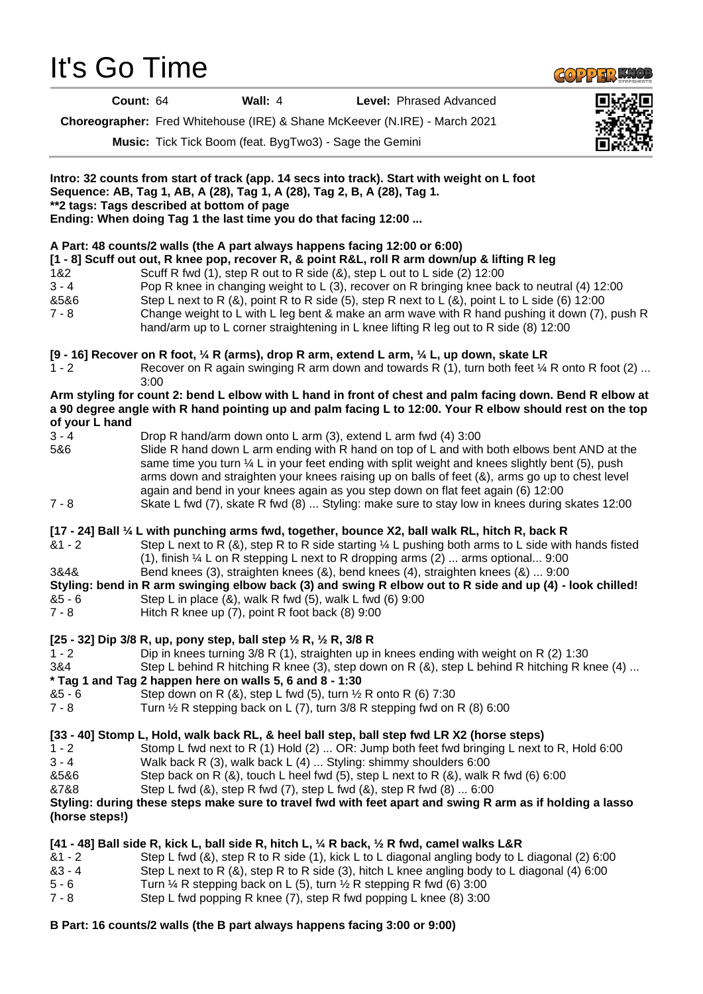## It's Go Time



**Count:** 64 **Wall:** 4 **Level:** Phrased Advanced

**Choreographer:** Fred Whitehouse (IRE) & Shane McKeever (N.IRE) - March 2021

**Music:** Tick Tick Boom (feat. BygTwo3) - Sage the Gemini



**B Part: 16 counts/2 walls (the B part always happens facing 3:00 or 9:00)**